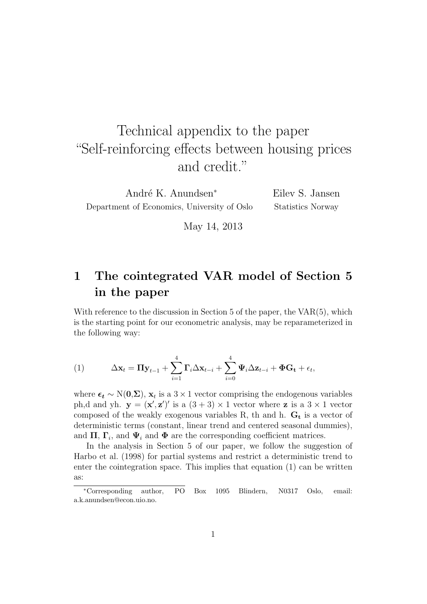# Technical appendix to the paper "Self-reinforcing effects between housing prices and credit."

André K. Anundsen<sup>∗</sup> Department of Economics, University of Oslo Eilev S. Jansen Statistics Norway

May 14, 2013

# 1 The cointegrated VAR model of Section 5 in the paper

With reference to the discussion in Section 5 of the paper, the  $VAR(5)$ , which is the starting point for our econometric analysis, may be reparameterized in the following way:

(1) 
$$
\Delta \mathbf{x}_t = \Pi \mathbf{y}_{t-1} + \sum_{i=1}^4 \Gamma_i \Delta \mathbf{x}_{t-i} + \sum_{i=0}^4 \Psi_i \Delta \mathbf{z}_{t-i} + \Phi \mathbf{G_t} + \epsilon_t,
$$

where  $\epsilon_t \sim N(0,\Sigma)$ ,  $x_t$  is a 3 × 1 vector comprising the endogenous variables ph,d and yh.  $y = (x', z')'$  is a  $(3 + 3) \times 1$  vector where z is a  $3 \times 1$  vector composed of the weakly exogenous variables R, th and h.  $G_t$  is a vector of deterministic terms (constant, linear trend and centered seasonal dummies), and  $\Pi$ ,  $\Gamma_i$ , and  $\Psi_i$  and  $\Phi$  are the corresponding coefficient matrices.

In the analysis in Section 5 of our paper, we follow the suggestion of Harbo et al. (1998) for partial systems and restrict a deterministic trend to enter the cointegration space. This implies that equation (1) can be written as:

<sup>∗</sup>Corresponding author, PO Box 1095 Blindern, N0317 Oslo, email: a.k.anundsen@econ.uio.no.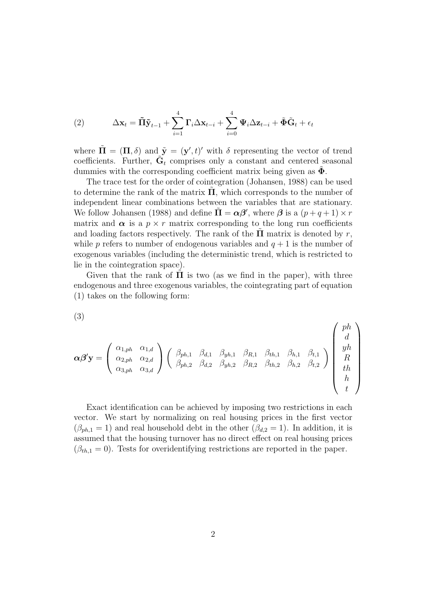(2) 
$$
\Delta \mathbf{x}_t = \tilde{\mathbf{\Pi}} \tilde{\mathbf{y}}_{t-1} + \sum_{i=1}^4 \mathbf{\Gamma}_i \Delta \mathbf{x}_{t-i} + \sum_{i=0}^4 \mathbf{\Psi}_i \Delta \mathbf{z}_{t-i} + \tilde{\mathbf{\Phi}} \tilde{\mathbf{G}}_t + \epsilon_t
$$

where  $\tilde{\mathbf{\Pi}} = (\mathbf{\Pi}, \delta)$  and  $\tilde{\mathbf{y}} = (\mathbf{y}', t)'$  with  $\delta$  representing the vector of trend coefficients. Further,  $\tilde{G}_t$  comprises only a constant and centered seasonal dummies with the corresponding coefficient matrix being given as  $\Phi$ .

The trace test for the order of cointegration (Johansen, 1988) can be used to determine the rank of the matrix  $\Pi$ , which corresponds to the number of independent linear combinations between the variables that are stationary. We follow Johansen (1988) and define  $\tilde{\mathbf{\Pi}} = \boldsymbol{\alpha}\boldsymbol{\beta}'$ , where  $\boldsymbol{\beta}$  is a  $(p+q+1) \times r$ matrix and  $\alpha$  is a  $p \times r$  matrix corresponding to the long run coefficients and loading factors respectively. The rank of the  $\Pi$  matrix is denoted by r, while p refers to number of endogenous variables and  $q + 1$  is the number of exogenous variables (including the deterministic trend, which is restricted to lie in the cointegration space).

Given that the rank of  $\Pi$  is two (as we find in the paper), with three endogenous and three exogenous variables, the cointegrating part of equation (1) takes on the following form:

$$
(3)
$$

$$
\alpha\beta'{\bf y} = \left(\begin{array}{ccc} \alpha_{1,ph} & \alpha_{1,d} \\ \alpha_{2,ph} & \alpha_{2,d} \\ \alpha_{3,ph} & \alpha_{3,d} \end{array}\right) \left(\begin{array}{ccc} \beta_{ph,1} & \beta_{d,1} & \beta_{yh,1} & \beta_{R,1} & \beta_{th,1} & \beta_{h,1} & \beta_{t,1} \\ \beta_{ph,2} & \beta_{d,2} & \beta_{yh,2} & \beta_{R,2} & \beta_{th,2} & \beta_{h,2} & \beta_{t,2} \end{array}\right) \left(\begin{array}{c} ph \\ d \\ ph \\ R \\ th \\ th \\ h \end{array}\right)
$$

Exact identification can be achieved by imposing two restrictions in each vector. We start by normalizing on real housing prices in the first vector  $(\beta_{ph,1} = 1)$  and real household debt in the other  $(\beta_{d,2} = 1)$ . In addition, it is assumed that the housing turnover has no direct effect on real housing prices  $(\beta_{th,1} = 0)$ . Tests for overidentifying restrictions are reported in the paper.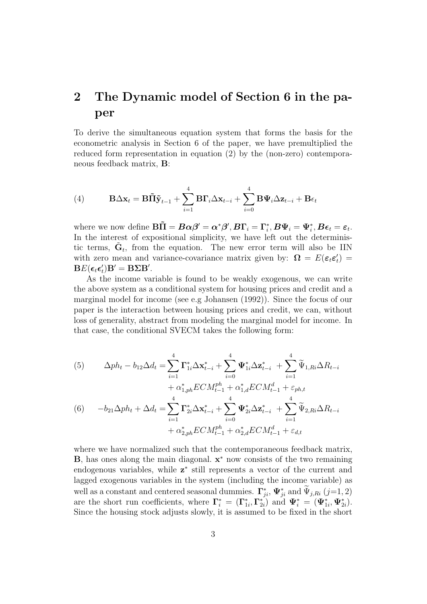## 2 The Dynamic model of Section 6 in the paper

To derive the simultaneous equation system that forms the basis for the econometric analysis in Section 6 of the paper, we have premultiplied the reduced form representation in equation (2) by the (non-zero) contemporaneous feedback matrix, B:

(4) 
$$
\mathbf{B}\Delta\mathbf{x}_{t} = \mathbf{B}\tilde{\mathbf{\Pi}}\tilde{\mathbf{y}}_{t-1} + \sum_{i=1}^{4} \mathbf{B}\mathbf{\Gamma}_{i}\Delta\mathbf{x}_{t-i} + \sum_{i=0}^{4} \mathbf{B}\Psi_{i}\Delta\mathbf{z}_{t-i} + \mathbf{B}\epsilon_{t}
$$

where we now define  $\mathbf{B}\tilde{\mathbf{\Pi}} = \boldsymbol{B}\boldsymbol{\alpha}\boldsymbol{\beta}' = \boldsymbol{\alpha}^*\boldsymbol{\beta}', \boldsymbol{B}\boldsymbol{\Gamma}_i = \boldsymbol{\Gamma}_i^*, \boldsymbol{B}\boldsymbol{\Psi}_i = \boldsymbol{\Psi}_i^*, \boldsymbol{B}\boldsymbol{\epsilon}_t = \boldsymbol{\varepsilon}_t.$ In the interest of expositional simplicity, we have left out the deterministic terms,  $\tilde{\mathbf{G}}_t$ , from the equation. The new error term will also be IIN with zero mean and variance-covariance matrix given by:  $\Omega = E(\epsilon_t \epsilon_t')$  $BE(\epsilon_t \epsilon'_t) B' = B\Sigma B'.$ 

As the income variable is found to be weakly exogenous, we can write the above system as a conditional system for housing prices and credit and a marginal model for income (see e.g Johansen (1992)). Since the focus of our paper is the interaction between housing prices and credit, we can, without loss of generality, abstract from modeling the marginal model for income. In that case, the conditional SVECM takes the following form:

(5) 
$$
\Delta ph_t - b_{12} \Delta d_t = \sum_{i=1}^4 \Gamma_{1i}^* \Delta \mathbf{x}_{t-i}^* + \sum_{i=0}^4 \Psi_{1i}^* \Delta \mathbf{z}_{t-i}^* + \sum_{i=1}^4 \widetilde{\Psi}_{1, Ri} \Delta R_{t-i} + \alpha_{1, ph}^* E C M_{t-1}^{ph} + \alpha_{1, d}^* E C M_{t-1}^d + \varepsilon_{ph, t} + \alpha_{2, ph}^* E C M_{t-1}^{ph} + \varepsilon_{2, kh}^* \Delta \mathbf{z}_{t-i}^* + \sum_{i=1}^4 \widetilde{\Psi}_{2, Ri} \Delta R_{t-i} + \alpha_{2, ph}^* E C M_{t-1}^{ph} + \alpha_{2, d}^* E C M_{t-1}^d + \varepsilon_{d, t}
$$

where we have normalized such that the contemporaneous feedback matrix, **, has ones along the main diagonal.**  $**x**<sup>*</sup>$  **now consists of the two remaining** endogenous variables, while  $z^*$  still represents a vector of the current and lagged exogenous variables in the system (including the income variable) as well as a constant and centered seasonal dummies.  $\Gamma_{ji}^*, \Psi_{ji}^*$  and  $\Psi_{j, Ri}$  (j=1, 2) are the short run coefficients, where  $\Gamma_i^* = (\Gamma_{1i}^*, \Gamma_{2i}^*)$  and  $\Psi_i^* = (\Psi_{1i}^*, \Psi_{2i}^*)$ . Since the housing stock adjusts slowly, it is assumed to be fixed in the short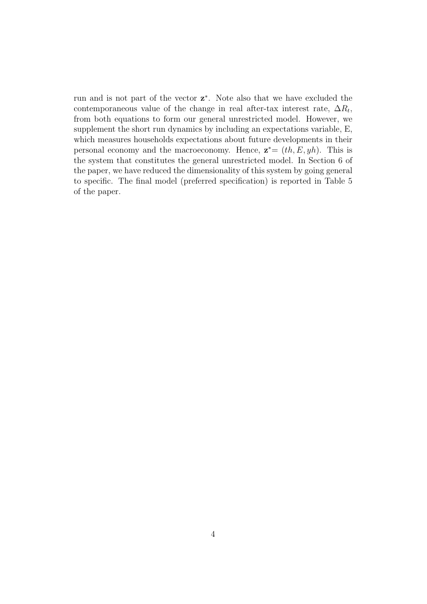run and is not part of the vector  $z^*$ . Note also that we have excluded the contemporaneous value of the change in real after-tax interest rate,  $\Delta R_t$ , from both equations to form our general unrestricted model. However, we supplement the short run dynamics by including an expectations variable, E, which measures households expectations about future developments in their personal economy and the macroeconomy. Hence,  $\mathbf{z}^* = (th, E, yh)$ . This is the system that constitutes the general unrestricted model. In Section 6 of the paper, we have reduced the dimensionality of this system by going general to specific. The final model (preferred specification) is reported in Table 5 of the paper.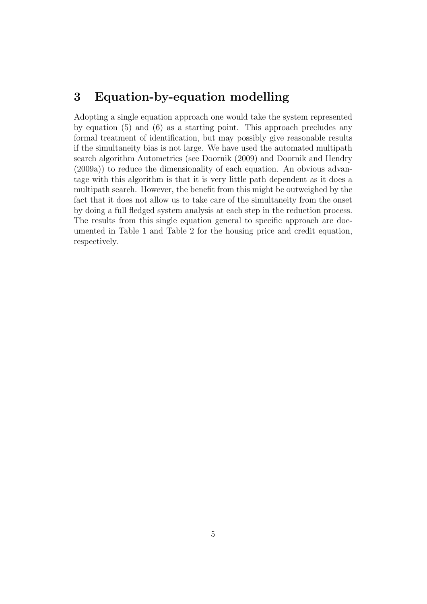#### 3 Equation-by-equation modelling

Adopting a single equation approach one would take the system represented by equation (5) and (6) as a starting point. This approach precludes any formal treatment of identification, but may possibly give reasonable results if the simultaneity bias is not large. We have used the automated multipath search algorithm Autometrics (see Doornik (2009) and Doornik and Hendry (2009a)) to reduce the dimensionality of each equation. An obvious advantage with this algorithm is that it is very little path dependent as it does a multipath search. However, the benefit from this might be outweighed by the fact that it does not allow us to take care of the simultaneity from the onset by doing a full fledged system analysis at each step in the reduction process. The results from this single equation general to specific approach are documented in Table 1 and Table 2 for the housing price and credit equation, respectively.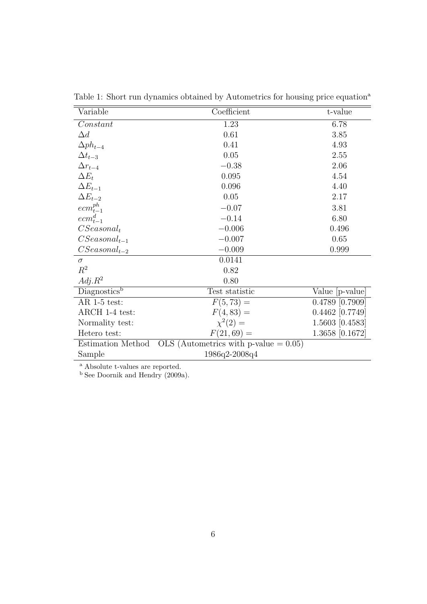| Variable                 | Coefficient<br>t-value                   |                   |
|--------------------------|------------------------------------------|-------------------|
| Constant                 | 1.23                                     | 6.78              |
| $\Delta d$               | 0.61                                     | 3.85              |
| $\Delta ph_{t-4}$        | 0.41                                     | 4.93              |
| $\Delta t_{t-3}$         | 0.05                                     | 2.55              |
| $\Delta r_{t-4}$         | $-0.38$                                  | 2.06              |
| $\Delta E_t$             | 0.095                                    | 4.54              |
| $\Delta E_{t-1}$         | 0.096                                    | 4.40              |
| $\Delta E_{t-2}$         | 0.05                                     | 2.17              |
| $ecm_{t-1}^{ph}$         | $-0.07$                                  | 3.81              |
| $ecm_{t-1}^d$            | $-0.14$                                  | 6.80              |
| $CSeasonal_t$            | $-0.006$                                 | 0.496             |
| $CSeasonal_{t-1}$        | $-0.007$                                 | 0.65              |
| $CSeasonal_{t-2}$        | $-0.009$                                 | 0.999             |
| $\sigma$                 | 0.0141                                   |                   |
| $R^2$                    | 0.82                                     |                   |
| $Adj.R^2$                | 0.80                                     |                   |
| Diagnostics <sup>b</sup> | Test statistic                           | Value [p-value]   |
| AR $1-5$ test:           | $F(5, 73) =$                             | $0.4789$ [0.7909] |
| ARCH 1-4 test:           | $F(4,83) =$                              | $0.4462$ [0.7749] |
| Normality test:          | $\chi^2(2) =$                            | 1.5603 [0.4583]   |
| Hetero test:             | $F(21,69) =$                             | 1.3658 [0.1672]   |
| Estimation Method        | OLS (Autometrics with p-value $= 0.05$ ) |                   |
| Sample                   | 1986q2-2008q4                            |                   |

Table 1: Short run dynamics obtained by Autometrics for housing price equation<sup>a</sup>

<sup>b</sup> See Doornik and Hendry (2009a).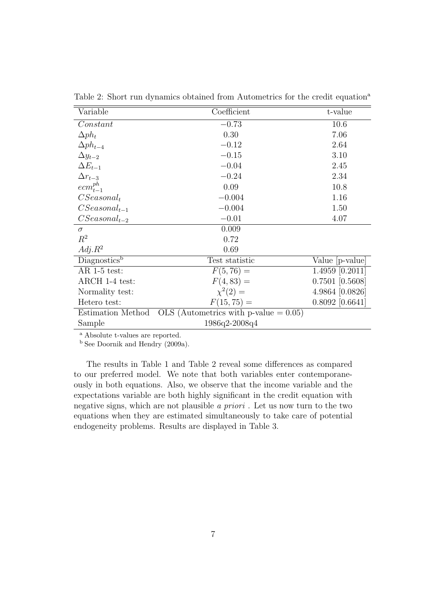| Variable          | Coefficient                              | t-value           |
|-------------------|------------------------------------------|-------------------|
| Constant          | $-0.73$                                  | 10.6              |
| $\Delta p h_t$    | 0.30                                     | 7.06              |
| $\Delta ph_{t-4}$ | $-0.12$                                  | 2.64              |
| $\Delta y_{t-2}$  | $-0.15$                                  | 3.10              |
| $\Delta E_{t-1}$  | $-0.04$                                  | 2.45              |
| $\Delta r_{t-3}$  | $-0.24$                                  | 2.34              |
| $ecm_{t-1}^{ph}$  | 0.09                                     | 10.8              |
| $CSeasonal_t$     | $-0.004$                                 | 1.16              |
| $CSeasonal_{t-1}$ | $-0.004$                                 | 1.50              |
| $CSeasonal_{t-2}$ | $-0.01$                                  | 4.07              |
| $\sigma$          | 0.009                                    |                   |
| $R^2$             | 0.72                                     |                   |
| $Adj.R^2$         | 0.69                                     |                   |
| Diagnosticsb      | Test statistic                           | Value [p-value]   |
| $AR$ 1-5 test:    | $F(5, 76) =$                             | $1.4959$ [0.2011] |
| ARCH 1-4 test:    | $F(4,83) =$                              | $0.7501$ [0.5608] |
| Normality test:   | $\chi^2(2) =$                            | 4.9864 [0.0826]   |
| Hetero test:      | $F(15, 75) =$                            | $0.8092$ [0.6641] |
| Estimation Method | OLS (Autometrics with p-value $= 0.05$ ) |                   |
| Sample            | 1986q2-2008q4                            |                   |

Table 2: Short run dynamics obtained from Autometrics for the credit equation<sup>a</sup>

<sup>b</sup> See Doornik and Hendry (2009a).

The results in Table 1 and Table 2 reveal some differences as compared to our preferred model. We note that both variables enter contemporaneously in both equations. Also, we observe that the income variable and the expectations variable are both highly significant in the credit equation with negative signs, which are not plausible a priori . Let us now turn to the two equations when they are estimated simultaneously to take care of potential endogeneity problems. Results are displayed in Table 3.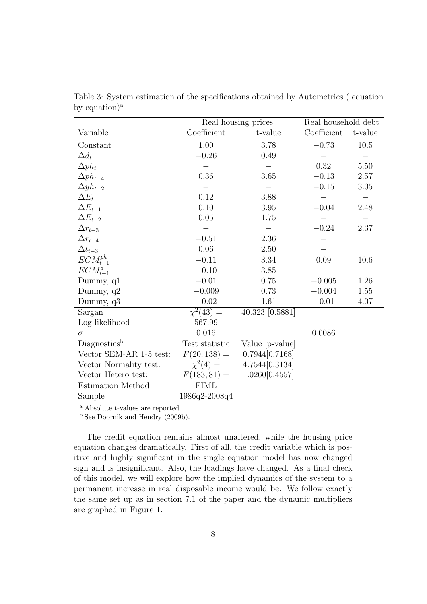|                           | Real housing prices       |                 | Real household debt |          |
|---------------------------|---------------------------|-----------------|---------------------|----------|
| Variable                  | Coefficient               | t-value         | Coefficient         | t-value  |
| Constant                  | 1.00                      | 3.78            | $-0.73$             | $10.5\,$ |
| $\Delta d_t$              | $-0.26$                   | 0.49            |                     |          |
| $\Delta p h_t$            |                           |                 | 0.32                | 5.50     |
| $\Delta ph_{t-4}$         | 0.36                      | 3.65            | $-0.13$             | 2.57     |
| $\Delta y h_{t-2}$        |                           |                 | $-0.15$             | 3.05     |
| $\Delta E_t$              | 0.12                      | 3.88            |                     |          |
| $\Delta E_{t-1}$          | 0.10                      | $3.95\,$        | $-0.04$             | 2.48     |
| $\Delta E_{t-2}$          | 0.05                      | 1.75            |                     |          |
| $\Delta r_{t-3}$          |                           |                 | $-0.24$             | 2.37     |
| $\Delta r_{t-4}$          | $-0.51$                   | 2.36            |                     |          |
| $\Delta t_{t-3}$          | 0.06                      | 2.50            |                     |          |
| $ECM_{t-1}^{ph}$          | $-0.11$                   | 3.34            | 0.09                | 10.6     |
| $ECM_{t-1}^d$             | $-0.10$                   | 3.85            |                     |          |
| Dummy, $q1$               | $-0.01$                   | 0.75            | $-0.005$            | 1.26     |
| Dummy, q2                 | $-0.009$                  | 0.73            | $-0.004$            | 1.55     |
| Dummy, $q3$               | $-0.02$                   | 1.61            | $-0.01$             | 4.07     |
| Sargan                    | $\overline{\chi^2(43)} =$ | 40.323 [0.5881] |                     |          |
| Log likelihood            | 567.99                    |                 |                     |          |
| $\sigma$                  | 0.016                     |                 | 0.0086              |          |
| Diagonostics <sup>b</sup> | Test statistic            | Value [p-value] |                     |          |
| Vector SEM-AR 1-5 test:   | $F(20, 138) =$            | 0.7944[0.7168]  |                     |          |
| Vector Normality test:    | $\chi^2(4) =$             | 4.7544[0.3134]  |                     |          |
| Vector Hetero test:       | $F(183, 81) =$            | 1.0260[0.4557]  |                     |          |
| Estimation Method         | <b>FIML</b>               |                 |                     |          |
| Sample                    | 1986q2-2008q4             |                 |                     |          |

Table 3: System estimation of the specifications obtained by Autometrics ( equation by equation)<sup>a</sup>

<sup>b</sup> See Doornik and Hendry (2009b).

The credit equation remains almost unaltered, while the housing price equation changes dramatically. First of all, the credit variable which is positive and highly significant in the single equation model has now changed sign and is insignificant. Also, the loadings have changed. As a final check of this model, we will explore how the implied dynamics of the system to a permanent increase in real disposable income would be. We follow exactly the same set up as in section 7.1 of the paper and the dynamic multipliers are graphed in Figure 1.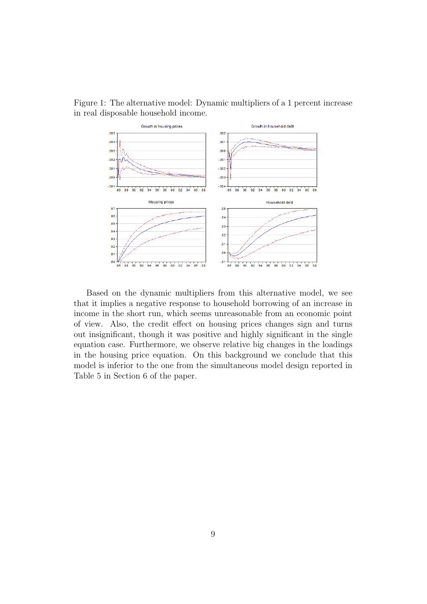Figure 1: The alternative model: Dynamic multipliers of a 1 percent increase in real disposable household income.



Based on the dynamic multipliers from this alternative model, we see that it implies a negative response to household borrowing of an increase in income in the short run, which seems unreasonable from an economic point of view. Also, the credit effect on housing prices changes sign and turns out insignificant, though it was positive and highly significant in the single equation case. Furthermore, we observe relative big changes in the loadings in the housing price equation. On this background we conclude that this model is inferior to the one from the simultaneous model design reported in Table 5 in Section 6 of the paper.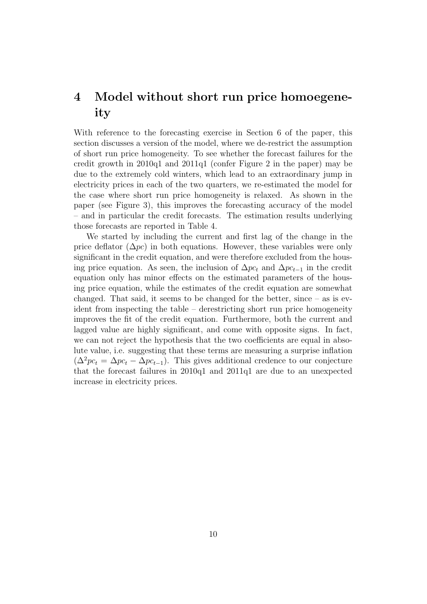## 4 Model without short run price homoegeneity

With reference to the forecasting exercise in Section 6 of the paper, this section discusses a version of the model, where we de-restrict the assumption of short run price homogeneity. To see whether the forecast failures for the credit growth in 2010q1 and 2011q1 (confer Figure 2 in the paper) may be due to the extremely cold winters, which lead to an extraordinary jump in electricity prices in each of the two quarters, we re-estimated the model for the case where short run price homogeneity is relaxed. As shown in the paper (see Figure 3), this improves the forecasting accuracy of the model – and in particular the credit forecasts. The estimation results underlying those forecasts are reported in Table 4.

We started by including the current and first lag of the change in the price deflator  $(\Delta pc)$  in both equations. However, these variables were only significant in the credit equation, and were therefore excluded from the housing price equation. As seen, the inclusion of  $\Delta pc_t$  and  $\Delta pc_{t-1}$  in the credit equation only has minor effects on the estimated parameters of the housing price equation, while the estimates of the credit equation are somewhat changed. That said, it seems to be changed for the better, since – as is evident from inspecting the table – derestricting short run price homogeneity improves the fit of the credit equation. Furthermore, both the current and lagged value are highly significant, and come with opposite signs. In fact, we can not reject the hypothesis that the two coefficients are equal in absolute value, i.e. suggesting that these terms are measuring a surprise inflation  $(\Delta^2 pc_t = \Delta pc_t - \Delta pc_{t-1})$ . This gives additional credence to our conjecture that the forecast failures in 2010q1 and 2011q1 are due to an unexpected increase in electricity prices.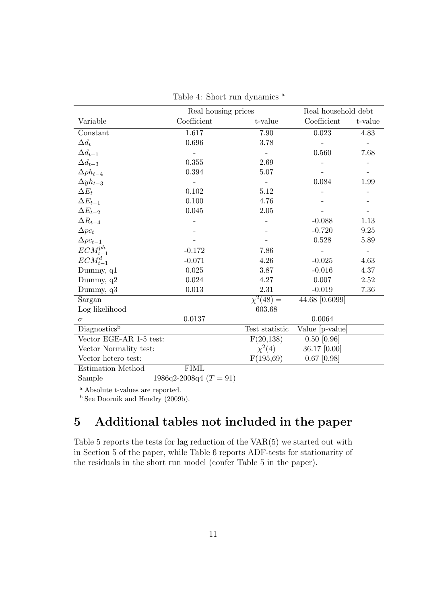|                          |                              | Real housing prices |                 | Real household debt |  |
|--------------------------|------------------------------|---------------------|-----------------|---------------------|--|
| Variable                 | Coefficient                  | t-value             | Coefficient     | t-value             |  |
| Constant                 | 1.617                        | 7.90                | 0.023           | 4.83                |  |
| $\Delta d_t$             | 0.696                        | 3.78                |                 |                     |  |
| $\Delta d_{t-1}$         |                              |                     | 0.560           | 7.68                |  |
| $\Delta d_{t-3}$         | 0.355                        | 2.69                |                 |                     |  |
| $\Delta ph_{t-4}$        | 0.394                        | 5.07                |                 |                     |  |
| $\Delta y h_{t-3}$       |                              |                     | 0.084           | 1.99                |  |
| $\Delta E_t$             | 0.102                        | 5.12                |                 |                     |  |
| $\Delta E_{t-1}$         | 0.100                        | 4.76                |                 |                     |  |
| $\Delta E_{t-2}$         | 0.045                        | 2.05                |                 |                     |  |
| $\Delta R_{t-4}$         |                              |                     | $-0.088$        | 1.13                |  |
| $\Delta pc_t$            |                              |                     | $-0.720$        | 9.25                |  |
| $\Delta pc_{t-1}$        |                              |                     | 0.528           | 5.89                |  |
| $ECM^{ph}_{t-1}$         | $-0.172$                     | 7.86                |                 |                     |  |
| $ECM_{t-1}^d$            | $-0.071$                     | 4.26                | $-0.025$        | 4.63                |  |
| Dummy, q1                | 0.025                        | 3.87                | $-0.016$        | 4.37                |  |
| Dummy, $q2$              | 0.024                        | 4.27                | 0.007           | 2.52                |  |
| Dummy, q3                | 0.013                        | 2.31                | $-0.019$        | 7.36                |  |
| Sargan                   |                              | $\chi^2(48) =$      | 44.68 [0.6099]  |                     |  |
| Log likelihood           |                              | 603.68              |                 |                     |  |
| $\sigma$                 | 0.0137                       |                     | 0.0064          |                     |  |
| Diagnostics <sup>b</sup> |                              | Test statistic      | Value [p-value] |                     |  |
| Vector EGE-AR 1-5 test:  |                              | F(20, 138)          | $0.50$ [0.96]   |                     |  |
| Vector Normality test:   |                              | $\chi^{2}(4)$       | 36.17 [0.00]    |                     |  |
| Vector hetero test:      |                              | F(195,69)           | $0.67$ [0.98]   |                     |  |
| Estimation Method        | <b>FIML</b>                  |                     |                 |                     |  |
| Sample                   | $1986q^2 - 2008q^4$ (T = 91) |                     |                 |                     |  |

Table 4: Short run dynamics <sup>a</sup>

<sup>b</sup> See Doornik and Hendry (2009b).

# 5 Additional tables not included in the paper

Table 5 reports the tests for lag reduction of the VAR(5) we started out with in Section 5 of the paper, while Table 6 reports ADF-tests for stationarity of the residuals in the short run model (confer Table 5 in the paper).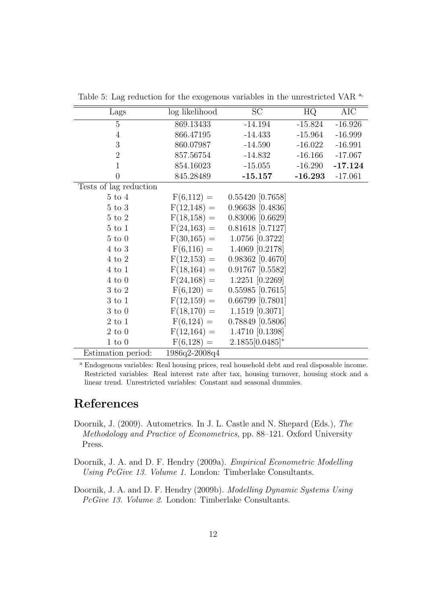| Lags                   | log likelihood | SC                 | HQ        | AIC       |
|------------------------|----------------|--------------------|-----------|-----------|
| $\overline{5}$         | 869.13433      | $-14.194$          | $-15.824$ | $-16.926$ |
| $\overline{4}$         | 866.47195      | $-14.433$          | $-15.964$ | $-16.999$ |
| 3                      | 860.07987      | $-14.590$          | $-16.022$ | $-16.991$ |
| $\overline{2}$         | 857.56754      | $-14.832$          | $-16.166$ | $-17.067$ |
| $\mathbf{1}$           | 854.16023      | $-15.055$          | $-16.290$ | $-17.124$ |
| $\boldsymbol{0}$       | 845.28489      | $-15.157$          | $-16.293$ | $-17.061$ |
| Tests of lag reduction |                |                    |           |           |
| $5 \text{ to } 4$      | $F(6,112) =$   | 0.55420 [0.7658]   |           |           |
| $5 \text{ to } 3$      | $F(12,148) =$  | $0.96638$ [0.4836] |           |           |
| $5 \text{ to } 2$      | $F(18,158) =$  | $0.83006$ [0.6629] |           |           |
| $5 \text{ to } 1$      | $F(24,163) =$  | $0.81618$ [0.7127] |           |           |
| $5 \text{ to } 0$      | $F(30,165) =$  | $1.0756$ [0.3722]  |           |           |
| $4 \text{ to } 3$      | $F(6,116) =$   | 1.4069 [0.2178]    |           |           |
| $4 \text{ to } 2$      | $F(12,153) =$  | $0.98362$ [0.4670] |           |           |
| $4 \text{ to } 1$      | $F(18,164) =$  | $0.91767$ [0.5582] |           |           |
| $4 \text{ to } 0$      | $F(24,168) =$  | $1.2251$ [0.2269]  |           |           |
| $3 \text{ to } 2$      | $F(6,120) =$   | $0.55985$ [0.7615] |           |           |
| $3 \text{ to } 1$      | $F(12,159) =$  | $0.66799$ [0.7801] |           |           |
| $3 \text{ to } 0$      | $F(18,170) =$  | $1.1519$ [0.3071]  |           |           |
| $2 \text{ to } 1$      | $F(6,124) =$   | 0.78849 [0.5806]   |           |           |
| $2 \text{ to } 0$      | $F(12,164) =$  | 1.4710 [0.1398]    |           |           |
| $1\ \mathrm{to}\ 0$    | $F(6,128) =$   | $2.1855[0.0485]^*$ |           |           |
| Estimation period:     | 1986q2-2008q4  |                    |           |           |

Table 5: Lag reduction for the exogenous variables in the unrestricted VAR <sup>a,</sup>

<sup>a</sup> Endogenous variables: Real housing prices, real household debt and real disposable income. Restricted variables: Real interest rate after tax, housing turnover, housing stock and a linear trend. Unrestricted variables: Constant and seasonal dummies.

#### References

- Doornik, J. (2009). Autometrics. In J. L. Castle and N. Shepard (Eds.), The Methodology and Practice of Econometrics, pp. 88–121. Oxford University Press.
- Doornik, J. A. and D. F. Hendry (2009a). Empirical Econometric Modelling Using PcGive 13. Volume 1. London: Timberlake Consultants.
- Doornik, J. A. and D. F. Hendry (2009b). Modelling Dynamic Systems Using PcGive 13. Volume 2. London: Timberlake Consultants.